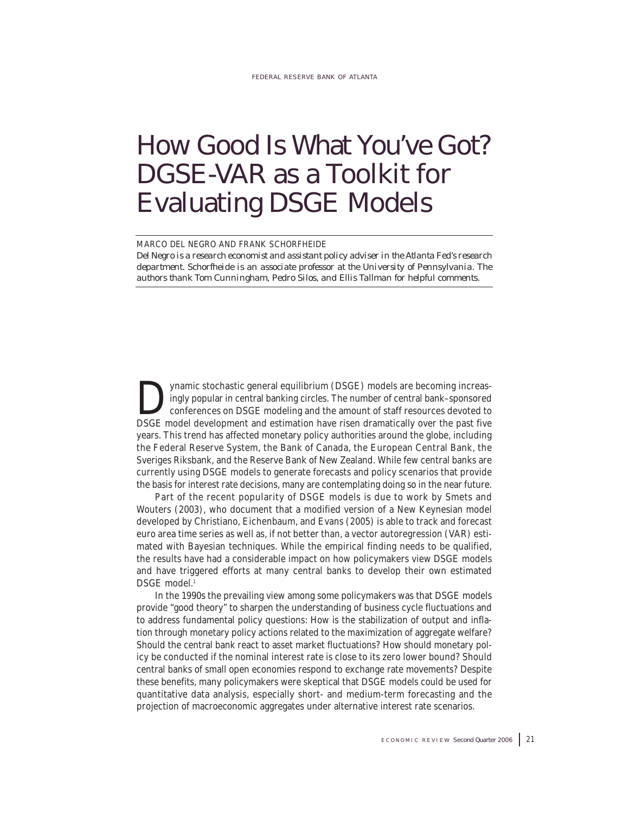# How Good Is What You've Got? DGSE-VAR as a Toolkit for Evaluating DSGE Models

### MARCO DEL NEGRO AND FRANK SCHORFHEIDE

*Del Negro is a research economist and assistant policy adviser in the Atlanta Fed's research department. Schorfheide is an associate professor at the University of Pennsylvania. The authors thank Tom Cunningham, Pedro Silos, and Ellis Tallman for helpful comments.*

ynamic stochastic general equilibrium (DSGE) models are becoming increasingly popular in central banking circles. The number of central bank–sponsored conferences on DSGE modeling and the amount of staff resources devoted to DSGE model development and estimation have risen dramatically over the past five years. This trend has affected monetary policy authorities around the globe, including the Federal Reserve System, the Bank of Canada, the European Central Bank, the Sveriges Riksbank, and the Reserve Bank of New Zealand. While few central banks are currently using DSGE models to generate forecasts and policy scenarios that provide the basis for interest rate decisions, many are contemplating doing so in the near future.

Part of the recent popularity of DSGE models is due to work by Smets and Wouters (2003), who document that a modified version of a New Keynesian model developed by Christiano, Eichenbaum, and Evans (2005) is able to track and forecast euro area time series as well as, if not better than, a vector autoregression (VAR) estimated with Bayesian techniques. While the empirical finding needs to be qualified, the results have had a considerable impact on how policymakers view DSGE models and have triggered efforts at many central banks to develop their own estimated DSGE model.<sup>1</sup>

In the 1990s the prevailing view among some policymakers was that DSGE models provide "good theory" to sharpen the understanding of business cycle fluctuations and to address fundamental policy questions: How is the stabilization of output and inflation through monetary policy actions related to the maximization of aggregate welfare? Should the central bank react to asset market fluctuations? How should monetary policy be conducted if the nominal interest rate is close to its zero lower bound? Should central banks of small open economies respond to exchange rate movements? Despite these benefits, many policymakers were skeptical that DSGE models could be used for quantitative data analysis, especially short- and medium-term forecasting and the projection of macroeconomic aggregates under alternative interest rate scenarios.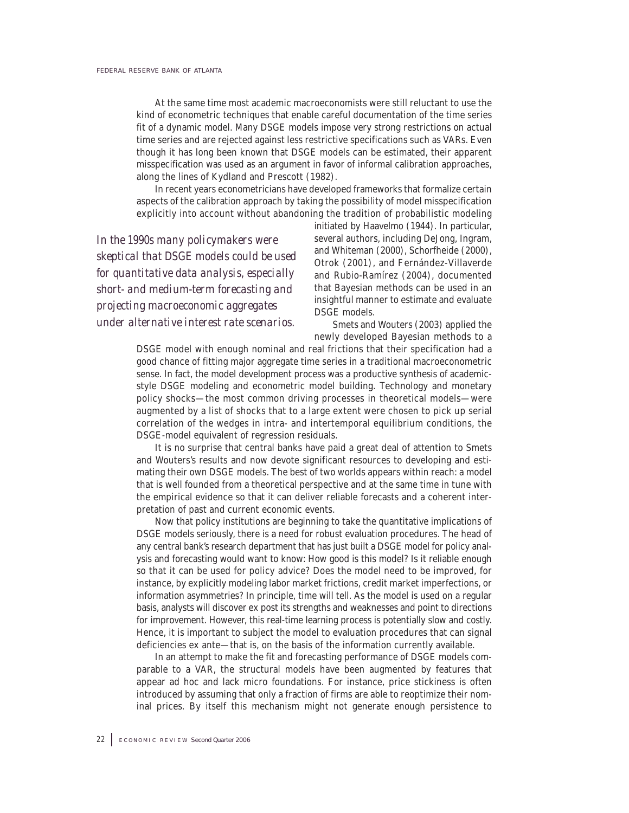At the same time most academic macroeconomists were still reluctant to use the kind of econometric techniques that enable careful documentation of the time series fit of a dynamic model. Many DSGE models impose very strong restrictions on actual time series and are rejected against less restrictive specifications such as VARs. Even though it has long been known that DSGE models can be estimated, their apparent misspecification was used as an argument in favor of informal calibration approaches, along the lines of Kydland and Prescott (1982).

In recent years econometricians have developed frameworks that formalize certain aspects of the calibration approach by taking the possibility of model misspecification explicitly into account without abandoning the tradition of probabilistic modeling

*In the 1990s many policymakers were skeptical that DSGE models could be used for quantitative data analysis, especially short- and medium-term forecasting and projecting macroeconomic aggregates under alternative interest rate scenarios.*

initiated by Haavelmo (1944). In particular, several authors, including DeJong, Ingram, and Whiteman (2000), Schorfheide (2000), Otrok (2001), and Fernández-Villaverde and Rubio-Ramírez (2004), documented that Bayesian methods can be used in an insightful manner to estimate and evaluate DSGE models.

Smets and Wouters (2003) applied the newly developed Bayesian methods to a

DSGE model with enough nominal and real frictions that their specification had a good chance of fitting major aggregate time series in a traditional macroeconometric sense. In fact, the model development process was a productive synthesis of academicstyle DSGE modeling and econometric model building. Technology and monetary policy shocks—the most common driving processes in theoretical models—were augmented by a list of shocks that to a large extent were chosen to pick up serial correlation of the wedges in intra- and intertemporal equilibrium conditions, the DSGE-model equivalent of regression residuals.

It is no surprise that central banks have paid a great deal of attention to Smets and Wouters's results and now devote significant resources to developing and estimating their own DSGE models. The best of two worlds appears within reach: a model that is well founded from a theoretical perspective and at the same time in tune with the empirical evidence so that it can deliver reliable forecasts and a coherent interpretation of past and current economic events.

Now that policy institutions are beginning to take the quantitative implications of DSGE models seriously, there is a need for robust evaluation procedures. The head of any central bank's research department that has just built a DSGE model for policy analysis and forecasting would want to know: How good is this model? Is it reliable enough so that it can be used for policy advice? Does the model need to be improved, for instance, by explicitly modeling labor market frictions, credit market imperfections, or information asymmetries? In principle, time will tell. As the model is used on a regular basis, analysts will discover ex post its strengths and weaknesses and point to directions for improvement. However, this real-time learning process is potentially slow and costly. Hence, it is important to subject the model to evaluation procedures that can signal deficiencies ex ante—that is, on the basis of the information currently available.

In an attempt to make the fit and forecasting performance of DSGE models comparable to a VAR, the structural models have been augmented by features that appear ad hoc and lack micro foundations. For instance, price stickiness is often introduced by assuming that only a fraction of firms are able to reoptimize their nominal prices. By itself this mechanism might not generate enough persistence to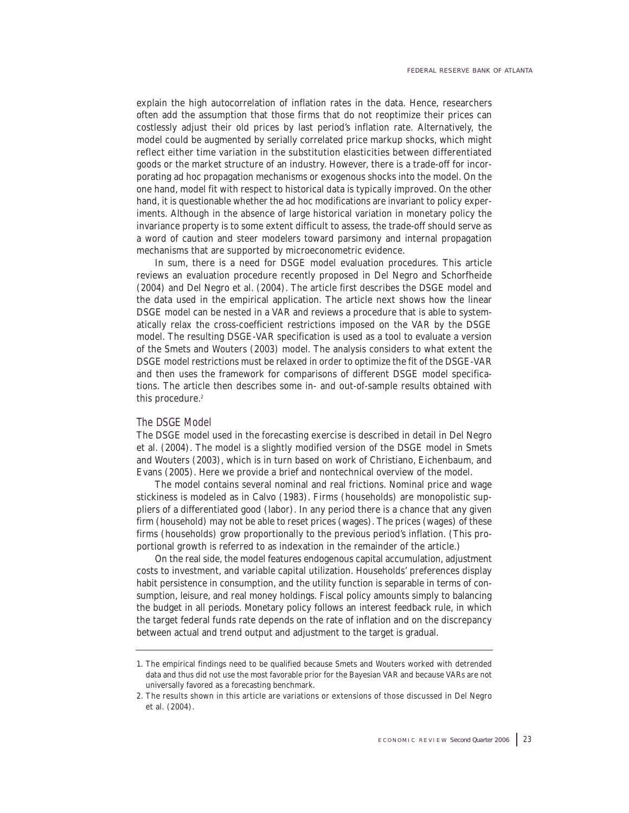explain the high autocorrelation of inflation rates in the data. Hence, researchers often add the assumption that those firms that do not reoptimize their prices can costlessly adjust their old prices by last period's inflation rate. Alternatively, the model could be augmented by serially correlated price markup shocks, which might reflect either time variation in the substitution elasticities between differentiated goods or the market structure of an industry. However, there is a trade-off for incorporating ad hoc propagation mechanisms or exogenous shocks into the model. On the one hand, model fit with respect to historical data is typically improved. On the other hand, it is questionable whether the ad hoc modifications are invariant to policy experiments. Although in the absence of large historical variation in monetary policy the invariance property is to some extent difficult to assess, the trade-off should serve as a word of caution and steer modelers toward parsimony and internal propagation mechanisms that are supported by microeconometric evidence.

In sum, there is a need for DSGE model evaluation procedures. This article reviews an evaluation procedure recently proposed in Del Negro and Schorfheide (2004) and Del Negro et al. (2004). The article first describes the DSGE model and the data used in the empirical application. The article next shows how the linear DSGE model can be nested in a VAR and reviews a procedure that is able to systematically relax the cross-coefficient restrictions imposed on the VAR by the DSGE model. The resulting DSGE-VAR specification is used as a tool to evaluate a version of the Smets and Wouters (2003) model. The analysis considers to what extent the DSGE model restrictions must be relaxed in order to optimize the fit of the DSGE-VAR and then uses the framework for comparisons of different DSGE model specifications. The article then describes some in- and out-of-sample results obtained with this procedure.<sup>2</sup>

### The DSGE Model

The DSGE model used in the forecasting exercise is described in detail in Del Negro et al. (2004). The model is a slightly modified version of the DSGE model in Smets and Wouters (2003), which is in turn based on work of Christiano, Eichenbaum, and Evans (2005). Here we provide a brief and nontechnical overview of the model.

The model contains several nominal and real frictions. Nominal price and wage stickiness is modeled as in Calvo (1983). Firms (households) are monopolistic suppliers of a differentiated good (labor). In any period there is a chance that any given firm (household) may not be able to reset prices (wages). The prices (wages) of these firms (households) grow proportionally to the previous period's inflation. (This proportional growth is referred to as indexation in the remainder of the article.)

On the real side, the model features endogenous capital accumulation, adjustment costs to investment, and variable capital utilization. Households' preferences display habit persistence in consumption, and the utility function is separable in terms of consumption, leisure, and real money holdings. Fiscal policy amounts simply to balancing the budget in all periods. Monetary policy follows an interest feedback rule, in which the target federal funds rate depends on the rate of inflation and on the discrepancy between actual and trend output and adjustment to the target is gradual.

<sup>1.</sup> The empirical findings need to be qualified because Smets and Wouters worked with detrended data and thus did not use the most favorable prior for the Bayesian VAR and because VARs are not universally favored as a forecasting benchmark.

<sup>2.</sup> The results shown in this article are variations or extensions of those discussed in Del Negro et al. (2004).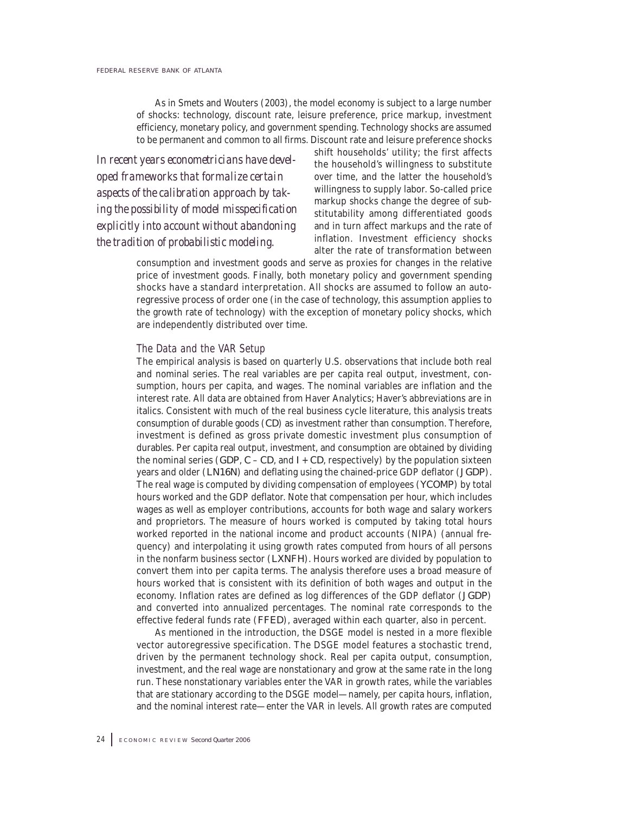As in Smets and Wouters (2003), the model economy is subject to a large number of shocks: technology, discount rate, leisure preference, price markup, investment efficiency, monetary policy, and government spending. Technology shocks are assumed to be permanent and common to all firms. Discount rate and leisure preference shocks

*In recent years econometricians have developed frameworks that formalize certain aspects of the calibration approach by taking the possibility of model misspecification explicitly into account without abandoning the tradition of probabilistic modeling.*

shift households' utility; the first affects the household's willingness to substitute over time, and the latter the household's willingness to supply labor. So-called price markup shocks change the degree of substitutability among differentiated goods and in turn affect markups and the rate of inflation. Investment efficiency shocks alter the rate of transformation between

consumption and investment goods and serve as proxies for changes in the relative price of investment goods. Finally, both monetary policy and government spending shocks have a standard interpretation. All shocks are assumed to follow an autoregressive process of order one (in the case of technology, this assumption applies to the growth rate of technology) with the exception of monetary policy shocks, which are independently distributed over time.

### The Data and the VAR Setup

The empirical analysis is based on quarterly U.S. observations that include both real and nominal series. The real variables are per capita real output, investment, consumption, hours per capita, and wages. The nominal variables are inflation and the interest rate. All data are obtained from Haver Analytics; Haver's abbreviations are in italics. Consistent with much of the real business cycle literature, this analysis treats consumption of durable goods (*CD*) as investment rather than consumption. Therefore, investment is defined as gross private domestic investment plus consumption of durables. Per capita real output, investment, and consumption are obtained by dividing the nominal series (*GDP*,  $C - CD$ , and  $I + CD$ , respectively) by the population sixteen years and older (*LN16N*) and deflating using the chained-price GDP deflator (*JGDP*). The real wage is computed by dividing compensation of employees (*YCOMP*) by total hours worked and the GDP deflator. Note that compensation per hour, which includes wages as well as employer contributions, accounts for both wage and salary workers and proprietors. The measure of hours worked is computed by taking total hours worked reported in the national income and product accounts (NIPA) (annual frequency) and interpolating it using growth rates computed from hours of all persons in the nonfarm business sector (*LXNFH*). Hours worked are divided by population to convert them into per capita terms. The analysis therefore uses a broad measure of hours worked that is consistent with its definition of both wages and output in the economy. Inflation rates are defined as log differences of the GDP deflator (*JGDP*) and converted into annualized percentages. The nominal rate corresponds to the effective federal funds rate (*FFED*), averaged within each quarter, also in percent.

As mentioned in the introduction, the DSGE model is nested in a more flexible vector autoregressive specification. The DSGE model features a stochastic trend, driven by the permanent technology shock. Real per capita output, consumption, investment, and the real wage are nonstationary and grow at the same rate in the long run. These nonstationary variables enter the VAR in growth rates, while the variables that are stationary according to the DSGE model—namely, per capita hours, inflation, and the nominal interest rate—enter the VAR in levels. All growth rates are computed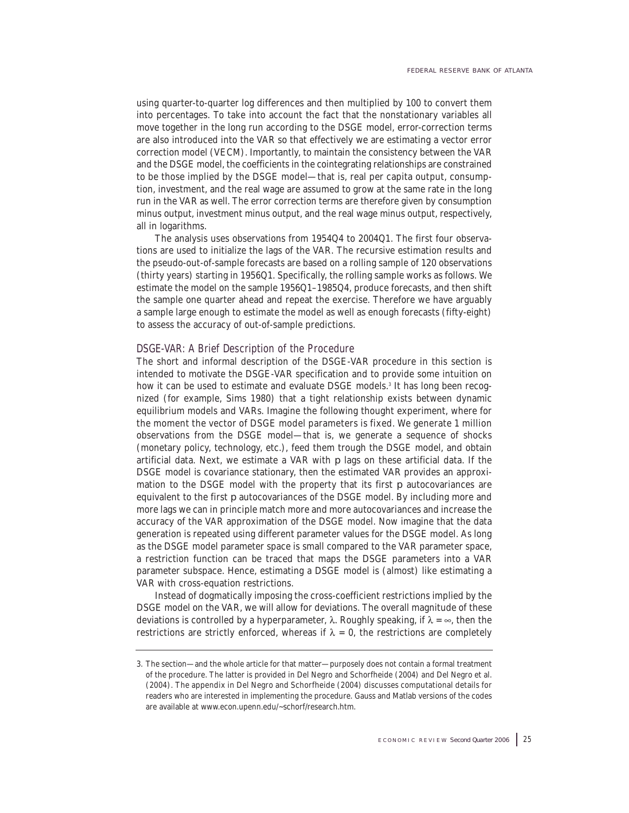using quarter-to-quarter log differences and then multiplied by 100 to convert them into percentages. To take into account the fact that the nonstationary variables all move together in the long run according to the DSGE model, error-correction terms are also introduced into the VAR so that effectively we are estimating a vector error correction model (VECM). Importantly, to maintain the consistency between the VAR and the DSGE model, the coefficients in the cointegrating relationships are constrained to be those implied by the DSGE model—that is, real per capita output, consumption, investment, and the real wage are assumed to grow at the same rate in the long run in the VAR as well. The error correction terms are therefore given by consumption minus output, investment minus output, and the real wage minus output, respectively, all in logarithms.

The analysis uses observations from 1954Q4 to 2004Q1. The first four observations are used to initialize the lags of the VAR. The recursive estimation results and the pseudo-out-of-sample forecasts are based on a rolling sample of 120 observations (thirty years) starting in 1956Q1. Specifically, the rolling sample works as follows. We estimate the model on the sample 1956Q1–1985Q4, produce forecasts, and then shift the sample one quarter ahead and repeat the exercise. Therefore we have arguably a sample large enough to estimate the model as well as enough forecasts (fifty-eight) to assess the accuracy of out-of-sample predictions.

### DSGE-VAR: A Brief Description of the Procedure

The short and informal description of the DSGE-VAR procedure in this section is intended to motivate the DSGE-VAR specification and to provide some intuition on how it can be used to estimate and evaluate DSGE models.<sup>3</sup> It has long been recognized (for example, Sims 1980) that a tight relationship exists between dynamic equilibrium models and VARs. Imagine the following thought experiment, where for the moment the vector of DSGE model parameters is fixed. We generate 1 million observations from the DSGE model—that is, we generate a sequence of shocks (monetary policy, technology, etc.), feed them trough the DSGE model, and obtain artificial data. Next, we estimate a VAR with *p* lags on these artificial data. If the DSGE model is covariance stationary, then the estimated VAR provides an approximation to the DSGE model with the property that its first *p* autocovariances are equivalent to the first *p* autocovariances of the DSGE model. By including more and more lags we can in principle match more and more autocovariances and increase the accuracy of the VAR approximation of the DSGE model. Now imagine that the data generation is repeated using different parameter values for the DSGE model. As long as the DSGE model parameter space is small compared to the VAR parameter space, a restriction function can be traced that maps the DSGE parameters into a VAR parameter subspace. Hence, estimating a DSGE model is (almost) like estimating a VAR with cross-equation restrictions.

Instead of dogmatically imposing the cross-coefficient restrictions implied by the DSGE model on the VAR, we will allow for deviations. The overall magnitude of these deviations is controlled by a hyperparameter, λ. Roughly speaking, if  $λ = ∞$ , then the restrictions are strictly enforced, whereas if  $\lambda = 0$ , the restrictions are completely

<sup>3.</sup> The section—and the whole article for that matter—purposely does not contain a formal treatment of the procedure. The latter is provided in Del Negro and Schorfheide (2004) and Del Negro et al. (2004). The appendix in Del Negro and Schorfheide (2004) discusses computational details for readers who are interested in implementing the procedure. Gauss and Matlab versions of the codes are available at www.econ.upenn.edu/~schorf/research.htm.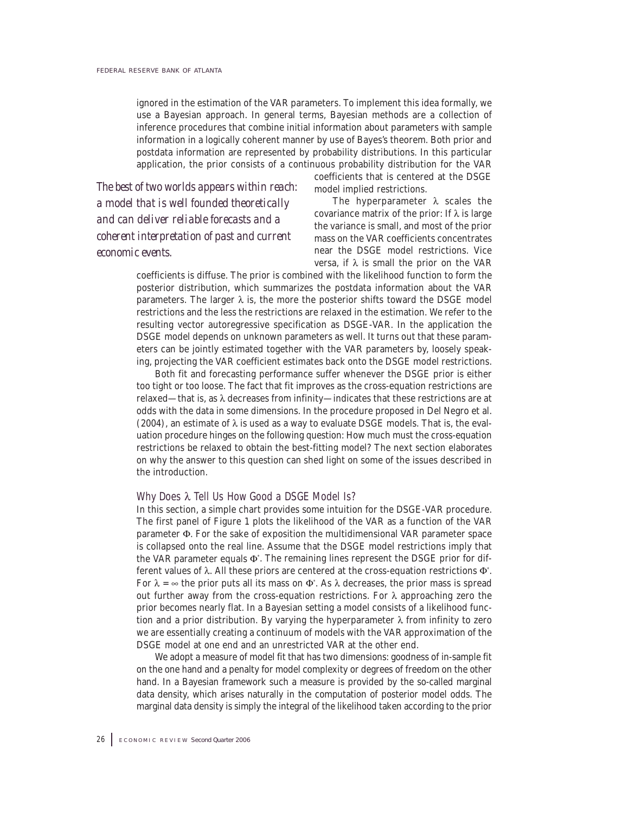ignored in the estimation of the VAR parameters. To implement this idea formally, we use a Bayesian approach. In general terms, Bayesian methods are a collection of inference procedures that combine initial information about parameters with sample information in a logically coherent manner by use of Bayes's theorem. Both prior and postdata information are represented by probability distributions. In this particular application, the prior consists of a continuous probability distribution for the VAR

*The best of two worlds appears within reach: a model that is well founded theoretically and can deliver reliable forecasts and a coherent interpretation of past and current economic events.*

coefficients that is centered at the DSGE model implied restrictions.

The hyperparameter  $\lambda$  scales the covariance matrix of the prior: If  $\lambda$  is large the variance is small, and most of the prior mass on the VAR coefficients concentrates near the DSGE model restrictions. Vice versa, if λ is small the prior on the VAR

coefficients is diffuse. The prior is combined with the likelihood function to form the posterior distribution, which summarizes the postdata information about the VAR parameters. The larger  $\lambda$  is, the more the posterior shifts toward the DSGE model restrictions and the less the restrictions are relaxed in the estimation. We refer to the resulting vector autoregressive specification as DSGE-VAR. In the application the DSGE model depends on unknown parameters as well. It turns out that these parameters can be jointly estimated together with the VAR parameters by, loosely speaking, projecting the VAR coefficient estimates back onto the DSGE model restrictions.

Both fit and forecasting performance suffer whenever the DSGE prior is either too tight or too loose. The fact that fit improves as the cross-equation restrictions are relaxed—that is, as λ decreases from infinity—indicates that these restrictions are at odds with the data in some dimensions. In the procedure proposed in Del Negro et al. (2004), an estimate of  $\lambda$  is used as a way to evaluate DSGE models. That is, the evaluation procedure hinges on the following question: How much must the cross-equation restrictions be relaxed to obtain the best-fitting model? The next section elaborates on why the answer to this question can shed light on some of the issues described in the introduction.

### Why Does  $\lambda$  Tell Us How Good a DSGE Model Is?

In this section, a simple chart provides some intuition for the DSGE-VAR procedure. The first panel of Figure 1 plots the likelihood of the VAR as a function of the VAR parameter Φ. For the sake of exposition the multidimensional VAR parameter space is collapsed onto the real line. Assume that the DSGE model restrictions imply that the VAR parameter equals  $Φ$ . The remaining lines represent the DSGE prior for different values of λ. All these priors are centered at the cross-equation restrictions Φ\* . For  $\lambda = \infty$  the prior puts all its mass on  $\Phi^*$ . As  $\lambda$  decreases, the prior mass is spread out further away from the cross-equation restrictions. For  $\lambda$  approaching zero the prior becomes nearly flat. In a Bayesian setting a model consists of a likelihood function and a prior distribution. By varying the hyperparameter  $\lambda$  from infinity to zero we are essentially creating a continuum of models with the VAR approximation of the DSGE model at one end and an unrestricted VAR at the other end.

We adopt a measure of model fit that has two dimensions: goodness of in-sample fit on the one hand and a penalty for model complexity or degrees of freedom on the other hand. In a Bayesian framework such a measure is provided by the so-called marginal data density, which arises naturally in the computation of posterior model odds. The marginal data density is simply the integral of the likelihood taken according to the prior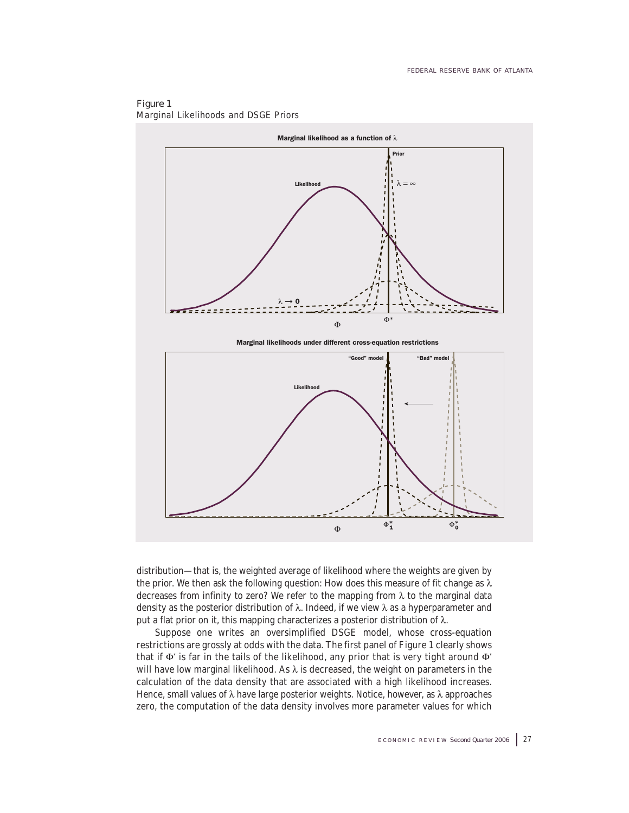

Figure 1 Marginal Likelihoods and DSGE Priors

distribution—that is, the weighted average of likelihood where the weights are given by the prior. We then ask the following question: How does this measure of fit change as  $\lambda$ decreases from infinity to zero? We refer to the mapping from  $\lambda$  to the marginal data density as the posterior distribution of  $λ$ . Indeed, if we view  $λ$  as a hyperparameter and put a flat prior on it, this mapping characterizes a posterior distribution of λ.

Suppose one writes an oversimplified DSGE model, whose cross-equation restrictions are grossly at odds with the data. The first panel of Figure 1 clearly shows that if  $\Phi$  is far in the tails of the likelihood, any prior that is very tight around  $\Phi$ <sup>\*</sup> will have low marginal likelihood. As  $\lambda$  is decreased, the weight on parameters in the calculation of the data density that are associated with a high likelihood increases. Hence, small values of λ have large posterior weights. Notice, however, as λ approaches zero, the computation of the data density involves more parameter values for which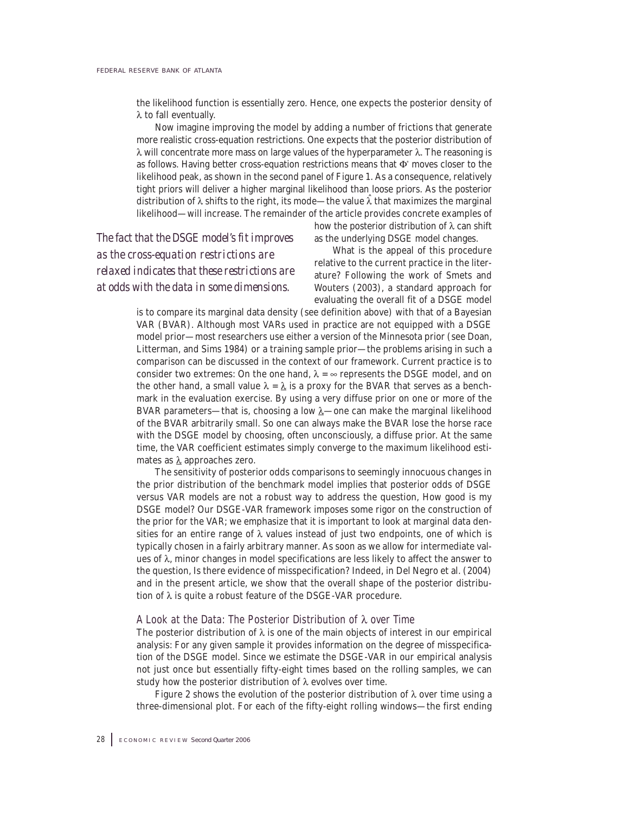the likelihood function is essentially zero. Hence, one expects the posterior density of λ to fall eventually.

Now imagine improving the model by adding a number of frictions that generate more realistic cross-equation restrictions. One expects that the posterior distribution of λ will concentrate more mass on large values of the hyperparameter λ. The reasoning is as follows. Having better cross-equation restrictions means that Φ\* moves closer to the likelihood peak, as shown in the second panel of Figure 1. As a consequence, relatively tight priors will deliver a higher marginal likelihood than loose priors. As the posterior distribution of  $\lambda$  shifts to the right, its mode—the value  $\lambda$  that maximizes the marginal likelihood—will increase. The remainder of the article provides concrete examples of

*The fact that the DSGE model's fit improves as the cross-equation restrictions are relaxed indicates that these restrictions are at odds with the data in some dimensions.*

how the posterior distribution of  $\lambda$  can shift as the underlying DSGE model changes.

What is the appeal of this procedure relative to the current practice in the literature? Following the work of Smets and Wouters (2003), a standard approach for evaluating the overall fit of a DSGE model

is to compare its marginal data density (see definition above) with that of a Bayesian VAR (BVAR). Although most VARs used in practice are not equipped with a DSGE model prior—most researchers use either a version of the Minnesota prior (see Doan, Litterman, and Sims 1984) or a training sample prior—the problems arising in such a comparison can be discussed in the context of our framework. Current practice is to consider two extremes: On the one hand,  $\lambda = \infty$  represents the DSGE model, and on the other hand, a small value  $\lambda = \lambda$  is a proxy for the BVAR that serves as a benchmark in the evaluation exercise. By using a very diffuse prior on one or more of the BVAR parameters—that is, choosing a low  $\lambda$ —one can make the marginal likelihood of the BVAR arbitrarily small. So one can always make the BVAR lose the horse race with the DSGE model by choosing, often unconsciously, a diffuse prior. At the same time, the VAR coefficient estimates simply converge to the maximum likelihood estimates as  $\lambda$  approaches zero.

The sensitivity of posterior odds comparisons to seemingly innocuous changes in the prior distribution of the benchmark model implies that posterior odds of DSGE versus VAR models are not a robust way to address the question, How good is my DSGE model? Our DSGE-VAR framework imposes some rigor on the construction of the prior for the VAR; we emphasize that it is important to look at marginal data densities for an entire range of  $\lambda$  values instead of just two endpoints, one of which is typically chosen in a fairly arbitrary manner. As soon as we allow for intermediate values of  $λ$ , minor changes in model specifications are less likely to affect the answer to the question, Is there evidence of misspecification? Indeed, in Del Negro et al. (2004) and in the present article, we show that the overall shape of the posterior distribution of  $\lambda$  is quite a robust feature of the DSGE-VAR procedure.

### A Look at the Data: The Posterior Distribution of  $\lambda$  over Time

The posterior distribution of  $\lambda$  is one of the main objects of interest in our empirical analysis: For any given sample it provides information on the degree of misspecification of the DSGE model. Since we estimate the DSGE-VAR in our empirical analysis not just once but essentially fifty-eight times based on the rolling samples, we can study how the posterior distribution of  $\lambda$  evolves over time.

Figure 2 shows the evolution of the posterior distribution of  $\lambda$  over time using a three-dimensional plot. For each of the fifty-eight rolling windows—the first ending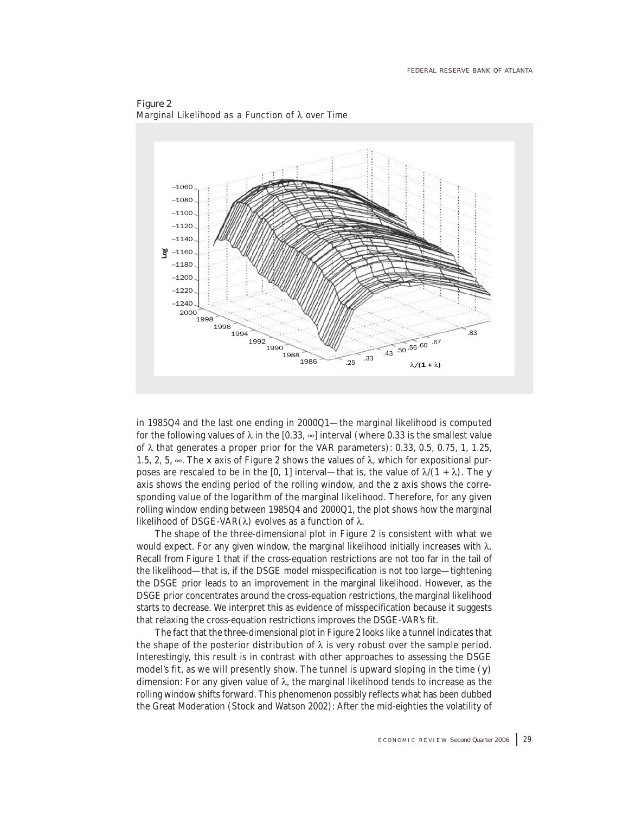

Figure 2 Marginal Likelihood as a Function of  $\lambda$  over Time

in 1985Q4 and the last one ending in 2000Q1—the marginal likelihood is computed for the following values of  $\lambda$  in the [0.33,  $\infty$ ] interval (where 0.33 is the smallest value of  $λ$  that generates a proper prior for the VAR parameters): 0.33, 0.5, 0.75, 1, 1.25, 1.5, 2, 5,  $\infty$ . The *x* axis of Figure 2 shows the values of  $\lambda$ , which for expositional purposes are rescaled to be in the [0, 1] interval—that is, the value of  $\lambda/(1 + \lambda)$ . The *y* axis shows the ending period of the rolling window, and the *z* axis shows the corresponding value of the logarithm of the marginal likelihood. Therefore, for any given rolling window ending between 1985Q4 and 2000Q1, the plot shows how the marginal likelihood of DSGE-VAR(λ) evolves as a function of  $λ$ .

The shape of the three-dimensional plot in Figure 2 is consistent with what we would expect. For any given window, the marginal likelihood initially increases with  $λ$ . Recall from Figure 1 that if the cross-equation restrictions are not too far in the tail of the likelihood—that is, if the DSGE model misspecification is not too large—tightening the DSGE prior leads to an improvement in the marginal likelihood. However, as the DSGE prior concentrates around the cross-equation restrictions, the marginal likelihood starts to decrease. We interpret this as evidence of misspecification because it suggests that relaxing the cross-equation restrictions improves the DSGE-VAR's fit.

The fact that the three-dimensional plot in Figure 2 looks like a tunnel indicates that the shape of the posterior distribution of  $\lambda$  is very robust over the sample period. Interestingly, this result is in contrast with other approaches to assessing the DSGE model's fit, as we will presently show. The tunnel is upward sloping in the time (*y*) dimension: For any given value of  $\lambda$ , the marginal likelihood tends to increase as the rolling window shifts forward. This phenomenon possibly reflects what has been dubbed the Great Moderation (Stock and Watson 2002): After the mid-eighties the volatility of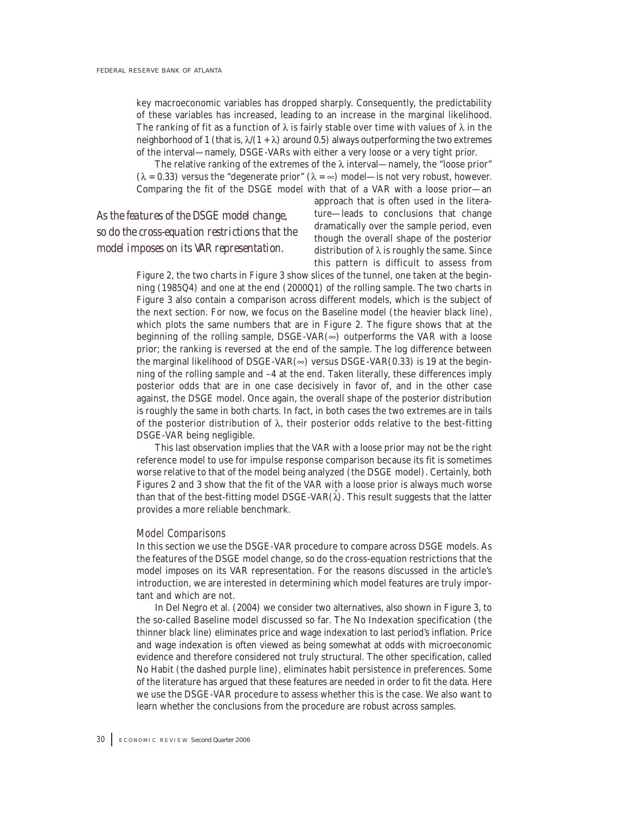key macroeconomic variables has dropped sharply. Consequently, the predictability of these variables has increased, leading to an increase in the marginal likelihood. The ranking of fit as a function of  $\lambda$  is fairly stable over time with values of  $\lambda$  in the neighborhood of 1 (that is,  $\lambda/(1 + \lambda)$  around 0.5) always outperforming the two extremes of the interval—namely, DSGE-VARs with either a very loose or a very tight prior.

The relative ranking of the extremes of the  $\lambda$  interval—namely, the "loose prior" ( $\lambda$  = 0.33) versus the "degenerate prior" ( $\lambda$  =  $\infty$ ) model—is not very robust, however. Comparing the fit of the DSGE model with that of a VAR with a loose prior—an

## *As the features of the DSGE model change, so do the cross-equation restrictions that the model imposes on its VAR representation.*

approach that is often used in the literature—leads to conclusions that change dramatically over the sample period, even though the overall shape of the posterior distribution of  $\lambda$  is roughly the same. Since this pattern is difficult to assess from

Figure 2, the two charts in Figure 3 show slices of the tunnel, one taken at the beginning (1985Q4) and one at the end (2000Q1) of the rolling sample. The two charts in Figure 3 also contain a comparison across different models, which is the subject of the next section. For now, we focus on the Baseline model (the heavier black line), which plots the same numbers that are in Figure 2. The figure shows that at the beginning of the rolling sample,  $DSGE-VAR(\infty)$  outperforms the VAR with a loose prior; the ranking is reversed at the end of the sample. The log difference between the marginal likelihood of DSGE-VAR( $\infty$ ) versus DSGE-VAR(0.33) is 19 at the beginning of the rolling sample and –4 at the end. Taken literally, these differences imply posterior odds that are in one case decisively in favor of, and in the other case against, the DSGE model. Once again, the overall shape of the posterior distribution is roughly the same in both charts. In fact, in both cases the two extremes are in tails of the posterior distribution of λ, their posterior odds relative to the best-fitting DSGE-VAR being negligible.

This last observation implies that the VAR with a loose prior may not be the right reference model to use for impulse response comparison because its fit is sometimes worse relative to that of the model being analyzed (the DSGE model). Certainly, both Figures 2 and 3 show that the fit of the VAR with a loose prior is always much worse than that of the best-fitting model DSGE-VAR $(\hat{\lambda})$ . This result suggests that the latter provides a more reliable benchmark.

#### Model Comparisons

In this section we use the DSGE-VAR procedure to compare across DSGE models. As the features of the DSGE model change, so do the cross-equation restrictions that the model imposes on its VAR representation. For the reasons discussed in the article's introduction, we are interested in determining which model features are truly important and which are not.

In Del Negro et al. (2004) we consider two alternatives, also shown in Figure 3, to the so-called Baseline model discussed so far. The No Indexation specification (the thinner black line) eliminates price and wage indexation to last period's inflation. Price and wage indexation is often viewed as being somewhat at odds with microeconomic evidence and therefore considered not truly structural. The other specification, called No Habit (the dashed purple line), eliminates habit persistence in preferences. Some of the literature has argued that these features are needed in order to fit the data. Here we use the DSGE-VAR procedure to assess whether this is the case. We also want to learn whether the conclusions from the procedure are robust across samples.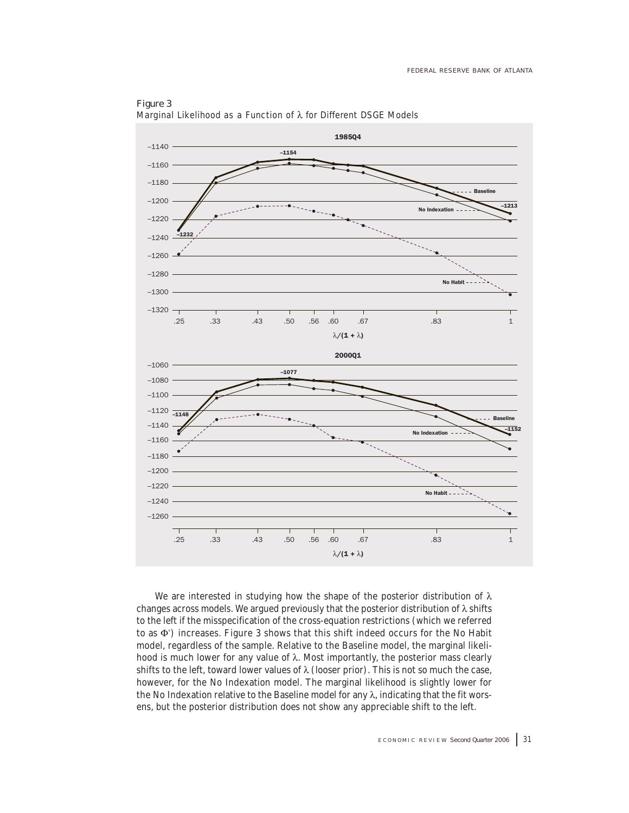

Figure 3 Marginal Likelihood as a Function of  $\lambda$  for Different DSGE Models

We are interested in studying how the shape of the posterior distribution of  $\lambda$ changes across models. We argued previously that the posterior distribution of  $\lambda$  shifts to the left if the misspecification of the cross-equation restrictions (which we referred to as Φ\* ) increases. Figure 3 shows that this shift indeed occurs for the No Habit model, regardless of the sample. Relative to the Baseline model, the marginal likelihood is much lower for any value of  $\lambda$ . Most importantly, the posterior mass clearly shifts to the left, toward lower values of  $\lambda$  (looser prior). This is not so much the case, however, for the No Indexation model. The marginal likelihood is slightly lower for the No Indexation relative to the Baseline model for any  $\lambda$ , indicating that the fit worsens, but the posterior distribution does not show any appreciable shift to the left.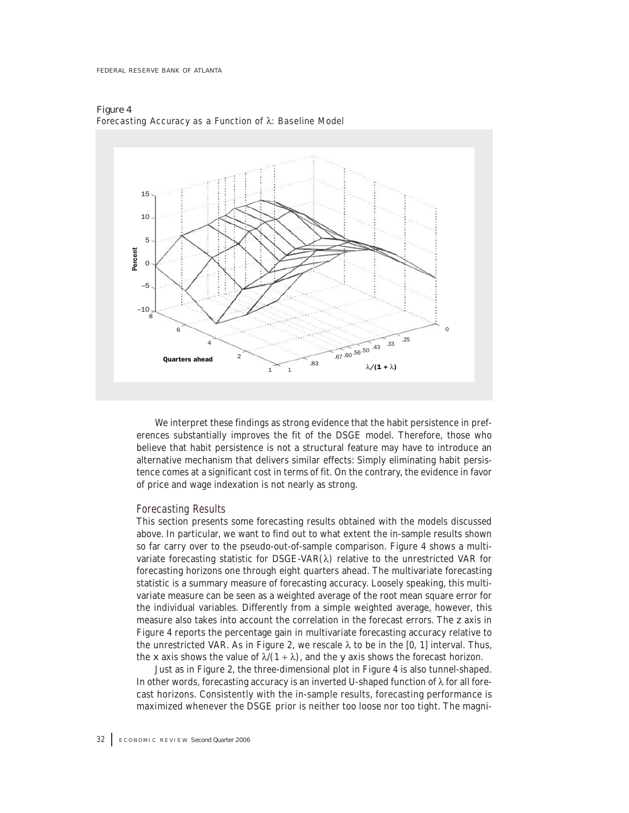

Figure 4 Forecasting Accuracy as a Function of  $\lambda$ : Baseline Model

We interpret these findings as strong evidence that the habit persistence in preferences substantially improves the fit of the DSGE model. Therefore, those who believe that habit persistence is not a structural feature may have to introduce an alternative mechanism that delivers similar effects: Simply eliminating habit persistence comes at a significant cost in terms of fit. On the contrary, the evidence in favor of price and wage indexation is not nearly as strong.

### Forecasting Results

This section presents some forecasting results obtained with the models discussed above. In particular, we want to find out to what extent the in-sample results shown so far carry over to the pseudo-out-of-sample comparison. Figure 4 shows a multivariate forecasting statistic for  $DSGE-VAR(\lambda)$  relative to the unrestricted VAR for forecasting horizons one through eight quarters ahead. The multivariate forecasting statistic is a summary measure of forecasting accuracy. Loosely speaking, this multivariate measure can be seen as a weighted average of the root mean square error for the individual variables. Differently from a simple weighted average, however, this measure also takes into account the correlation in the forecast errors. The *z* axis in Figure 4 reports the percentage gain in multivariate forecasting accuracy relative to the unrestricted VAR. As in Figure 2, we rescale  $\lambda$  to be in the [0, 1] interval. Thus, the *x* axis shows the value of  $\lambda/(1 + \lambda)$ , and the *y* axis shows the forecast horizon.

Just as in Figure 2, the three-dimensional plot in Figure 4 is also tunnel-shaped. In other words, forecasting accuracy is an inverted U-shaped function of λ for all forecast horizons. Consistently with the in-sample results, forecasting performance is maximized whenever the DSGE prior is neither too loose nor too tight. The magni-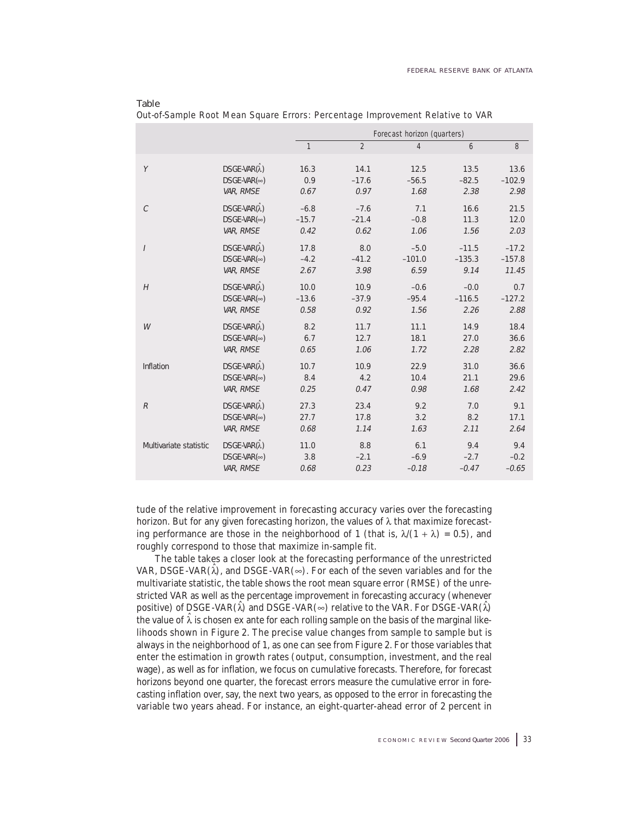|                        |                             |              | Forecast horizon (quarters) |                |          |          |  |  |  |
|------------------------|-----------------------------|--------------|-----------------------------|----------------|----------|----------|--|--|--|
|                        |                             | $\mathbf{1}$ | $\overline{2}$              | $\overline{4}$ | 6        | 8        |  |  |  |
| Y                      | DSGE-VAR( $\hat{\lambda}$ ) | 16.3         | 14.1                        | 12.5           | 13.5     | 13.6     |  |  |  |
|                        | $DSGE-VAR(\infty)$          | 0.9          | $-17.6$                     | $-56.5$        | $-82.5$  | $-102.9$ |  |  |  |
|                        | VAR, RMSE                   | 0.67         | 0.97                        | 1.68           | 2.38     | 2.98     |  |  |  |
| $\mathcal{C}$          | DSGE-VAR( $\hat{\lambda}$ ) | $-6.8$       | $-7.6$                      | 7.1            | 16.6     | 21.5     |  |  |  |
|                        | $DSGE-VAR(\infty)$          | $-15.7$      | $-21.4$                     | $-0.8$         | 11.3     | 12.0     |  |  |  |
|                        | VAR, RMSE                   | 0.42         | 0.62                        | 1.06           | 1.56     | 2.03     |  |  |  |
| $\overline{I}$         | $DSGE-VAR(\hat{\lambda})$   | 17.8         | 8.0                         | $-5.0$         | $-11.5$  | $-17.2$  |  |  |  |
|                        | $DSGE-VAR(\infty)$          | $-4.2$       | $-41.2$                     | $-101.0$       | $-135.3$ | $-157.8$ |  |  |  |
|                        | VAR, RMSE                   | 2.67         | 3.98                        | 6.59           | 9.14     | 11.45    |  |  |  |
| H                      | $DSGE-VAR(\lambda)$         | 10.0         | 10.9                        | $-0.6$         | $-0.0$   | 0.7      |  |  |  |
|                        | $DSGE-VAR(\infty)$          | $-13.6$      | $-37.9$                     | $-95.4$        | $-116.5$ | $-127.2$ |  |  |  |
|                        | VAR, RMSE                   | 0.58         | 0.92                        | 1.56           | 2.26     | 2.88     |  |  |  |
| W                      | DSGE-VAR( $\hat{\lambda}$ ) | 8.2          | 11.7                        | 11.1           | 14.9     | 18.4     |  |  |  |
|                        | $DSGE-VAR(\infty)$          | 6.7          | 12.7                        | 18.1           | 27.0     | 36.6     |  |  |  |
|                        | VAR, RMSE                   | 0.65         | 1.06                        | 1.72           | 2.28     | 2.82     |  |  |  |
| Inflation              | $DSGE-VAR(\hat{\lambda})$   | 10.7         | 10.9                        | 22.9           | 31.0     | 36.6     |  |  |  |
|                        | $DSGE-VAR(\infty)$          | 8.4          | 4.2                         | 10.4           | 21.1     | 29.6     |  |  |  |
|                        | VAR, RMSE                   | 0.25         | 0.47                        | 0.98           | 1.68     | 2.42     |  |  |  |
| $\mathcal{R}$          | $DSGE-VAR(\hat{\lambda})$   | 27.3         | 23.4                        | 9.2            | 7.0      | 9.1      |  |  |  |
|                        | $DSGE-VAR(\infty)$          | 27.7         | 17.8                        | 3.2            | 8.2      | 17.1     |  |  |  |
|                        | VAR, RMSE                   | 0.68         | 1.14                        | 1.63           | 2.11     | 2.64     |  |  |  |
| Multivariate statistic | $DSGE-VAR(\hat{\lambda})$   | 11.0         | 8.8                         | 6.1            | 9.4      | 9.4      |  |  |  |
|                        | $DSGE-VAR(\infty)$          | 3.8          | $-2.1$                      | $-6.9$         | $-2.7$   | $-0.2$   |  |  |  |
|                        | VAR, RMSE                   | 0.68         | 0.23                        | $-0.18$        | $-0.47$  | $-0.65$  |  |  |  |

| - Lawie                                                                       |  |  |  |
|-------------------------------------------------------------------------------|--|--|--|
| Out-of-Sample Root Mean Square Errors: Percentage Improvement Relative to VAR |  |  |  |

Table

tude of the relative improvement in forecasting accuracy varies over the forecasting horizon. But for any given forecasting horizon, the values of  $\lambda$  that maximize forecasting performance are those in the neighborhood of 1 (that is,  $\lambda/(1 + \lambda) = 0.5$ ), and roughly correspond to those that maximize in-sample fit.

The table takes a closer look at the forecasting performance of the unrestricted VAR, DSGE-VAR( $\hat{\lambda}$ ), and DSGE-VAR( $\infty$ ). For each of the seven variables and for the multivariate statistic, the table shows the root mean square error (RMSE) of the unrestricted VAR as well as the percentage improvement in forecasting accuracy (whenever positive) of DSGE-VAR( $\lambda$ ) and DSGE-VAR( $\infty$ ) relative to the VAR. For DSGE-VAR( $\lambda$ ) the value of  $\lambda$  is chosen ex ante for each rolling sample on the basis of the marginal likelihoods shown in Figure 2. The precise value changes from sample to sample but is always in the neighborhood of 1, as one can see from Figure 2. For those variables that enter the estimation in growth rates (output, consumption, investment, and the real wage), as well as for inflation, we focus on cumulative forecasts. Therefore, for forecast horizons beyond one quarter, the forecast errors measure the cumulative error in forecasting inflation over, say, the next two years, as opposed to the error in forecasting the variable two years ahead. For instance, an eight-quarter-ahead error of 2 percent in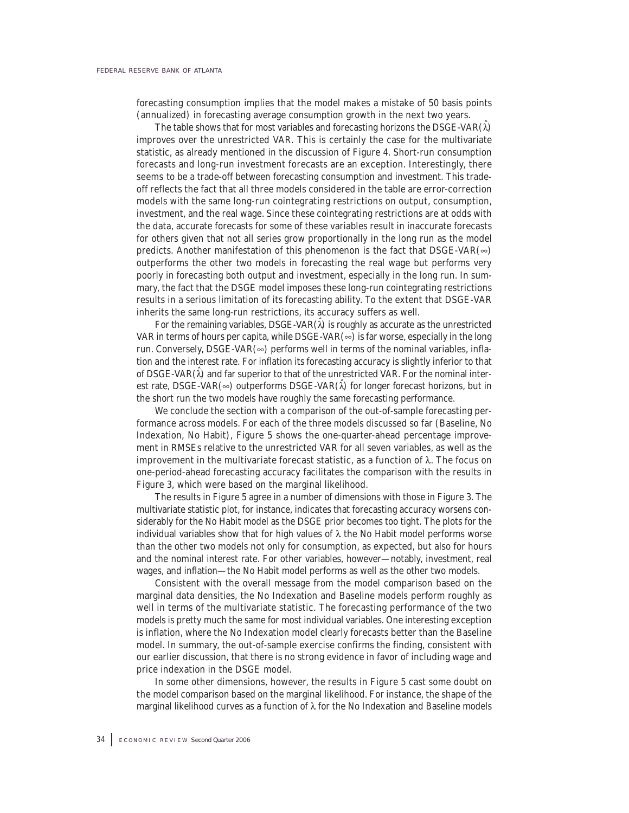forecasting consumption implies that the model makes a mistake of 50 basis points (annualized) in forecasting average consumption growth in the next two years.

The table shows that for most variables and forecasting horizons the DSGE-VAR $(\lambda)$ improves over the unrestricted VAR. This is certainly the case for the multivariate statistic, as already mentioned in the discussion of Figure 4. Short-run consumption forecasts and long-run investment forecasts are an exception. Interestingly, there seems to be a trade-off between forecasting consumption and investment. This tradeoff reflects the fact that all three models considered in the table are error-correction models with the same long-run cointegrating restrictions on output, consumption, investment, and the real wage. Since these cointegrating restrictions are at odds with the data, accurate forecasts for some of these variables result in inaccurate forecasts for others given that not all series grow proportionally in the long run as the model predicts. Another manifestation of this phenomenon is the fact that  $DSGE-VAR(\infty)$ outperforms the other two models in forecasting the real wage but performs very poorly in forecasting both output and investment, especially in the long run. In summary, the fact that the DSGE model imposes these long-run cointegrating restrictions results in a serious limitation of its forecasting ability. To the extent that DSGE-VAR inherits the same long-run restrictions, its accuracy suffers as well.

For the remaining variables,  $DSGE-VAR(\lambda)$  is roughly as accurate as the unrestricted VAR in terms of hours per capita, while DSGE-VAR $(\infty)$  is far worse, especially in the long run. Conversely, DSGE-VAR $(\infty)$  performs well in terms of the nominal variables, inflation and the interest rate. For inflation its forecasting accuracy is slightly inferior to that of DSGE-VAR $(\lambda)$  and far superior to that of the unrestricted VAR. For the nominal interest rate, DSGE-VAR( $\infty$ ) outperforms DSGE-VAR( $\lambda$ ) for longer forecast horizons, but in the short run the two models have roughly the same forecasting performance.

We conclude the section with a comparison of the out-of-sample forecasting performance across models. For each of the three models discussed so far (Baseline, No Indexation, No Habit), Figure 5 shows the one-quarter-ahead percentage improvement in RMSEs relative to the unrestricted VAR for all seven variables, as well as the improvement in the multivariate forecast statistic, as a function of  $\lambda$ . The focus on one-period-ahead forecasting accuracy facilitates the comparison with the results in Figure 3, which were based on the marginal likelihood.

The results in Figure 5 agree in a number of dimensions with those in Figure 3. The multivariate statistic plot, for instance, indicates that forecasting accuracy worsens considerably for the No Habit model as the DSGE prior becomes too tight. The plots for the individual variables show that for high values of  $\lambda$  the No Habit model performs worse than the other two models not only for consumption, as expected, but also for hours and the nominal interest rate. For other variables, however—notably, investment, real wages, and inflation—the No Habit model performs as well as the other two models.

Consistent with the overall message from the model comparison based on the marginal data densities, the No Indexation and Baseline models perform roughly as well in terms of the multivariate statistic. The forecasting performance of the two models is pretty much the same for most individual variables. One interesting exception is inflation, where the No Indexation model clearly forecasts better than the Baseline model. In summary, the out-of-sample exercise confirms the finding, consistent with our earlier discussion, that there is no strong evidence in favor of including wage and price indexation in the DSGE model.

In some other dimensions, however, the results in Figure 5 cast some doubt on the model comparison based on the marginal likelihood. For instance, the shape of the marginal likelihood curves as a function of λ for the No Indexation and Baseline models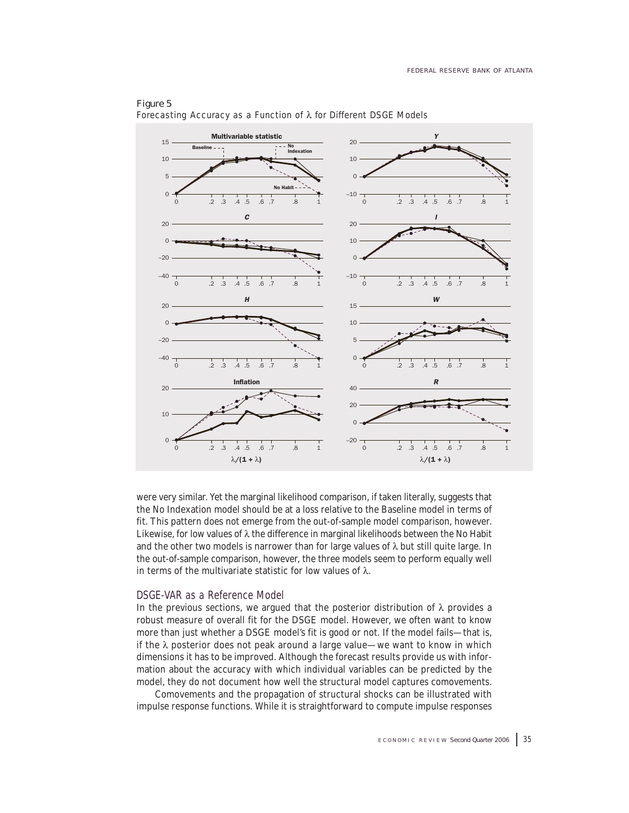

### Figure 5 Forecasting Accuracy as a Function of λ for Different DSGE Models

were very similar. Yet the marginal likelihood comparison, if taken literally, suggests that the No Indexation model should be at a loss relative to the Baseline model in terms of fit. This pattern does not emerge from the out-of-sample model comparison, however. Likewise, for low values of λ the difference in marginal likelihoods between the No Habit and the other two models is narrower than for large values of  $\lambda$  but still quite large. In the out-of-sample comparison, however, the three models seem to perform equally well in terms of the multivariate statistic for low values of  $\lambda$ .

### DSGE-VAR as a Reference Model

In the previous sections, we argued that the posterior distribution of  $\lambda$  provides a robust measure of overall fit for the DSGE model. However, we often want to know more than just whether a DSGE model's fit is good or not. If the model fails—that is, if the  $\lambda$  posterior does not peak around a large value—we want to know in which dimensions it has to be improved. Although the forecast results provide us with information about the accuracy with which individual variables can be predicted by the model, they do not document how well the structural model captures comovements.

Comovements and the propagation of structural shocks can be illustrated with impulse response functions. While it is straightforward to compute impulse responses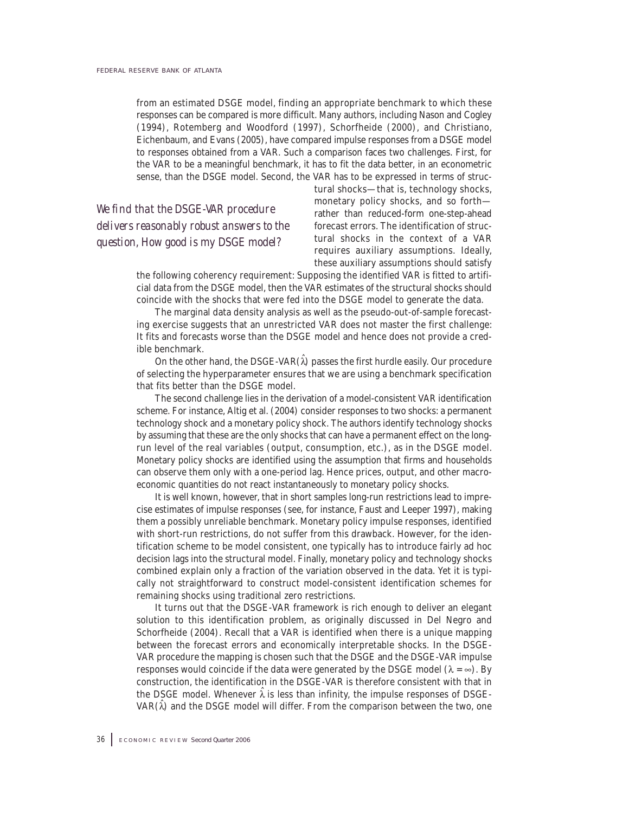from an estimated DSGE model, finding an appropriate benchmark to which these responses can be compared is more difficult. Many authors, including Nason and Cogley (1994), Rotemberg and Woodford (1997), Schorfheide (2000), and Christiano, Eichenbaum, and Evans (2005), have compared impulse responses from a DSGE model to responses obtained from a VAR. Such a comparison faces two challenges. First, for the VAR to be a meaningful benchmark, it has to fit the data better, in an econometric sense, than the DSGE model. Second, the VAR has to be expressed in terms of struc-

*We find that the DSGE-VAR procedure delivers reasonably robust answers to the question, How good is my DSGE model?*

tural shocks—that is, technology shocks, monetary policy shocks, and so forth rather than reduced-form one-step-ahead forecast errors. The identification of structural shocks in the context of a VAR requires auxiliary assumptions. Ideally, these auxiliary assumptions should satisfy

the following coherency requirement: Supposing the identified VAR is fitted to artificial data from the DSGE model, then the VAR estimates of the structural shocks should coincide with the shocks that were fed into the DSGE model to generate the data.

The marginal data density analysis as well as the pseudo-out-of-sample forecasting exercise suggests that an unrestricted VAR does not master the first challenge: It fits and forecasts worse than the DSGE model and hence does not provide a credible benchmark.

On the other hand, the DSGE-VAR $(\hat{\lambda})$  passes the first hurdle easily. Our procedure of selecting the hyperparameter ensures that we are using a benchmark specification that fits better than the DSGE model.

The second challenge lies in the derivation of a model-consistent VAR identification scheme. For instance, Altig et al. (2004) consider responses to two shocks: a permanent technology shock and a monetary policy shock. The authors identify technology shocks by assuming that these are the only shocks that can have a permanent effect on the longrun level of the real variables (output, consumption, etc.), as in the DSGE model. Monetary policy shocks are identified using the assumption that firms and households can observe them only with a one-period lag. Hence prices, output, and other macroeconomic quantities do not react instantaneously to monetary policy shocks.

It is well known, however, that in short samples long-run restrictions lead to imprecise estimates of impulse responses (see, for instance, Faust and Leeper 1997), making them a possibly unreliable benchmark. Monetary policy impulse responses, identified with short-run restrictions, do not suffer from this drawback. However, for the identification scheme to be model consistent, one typically has to introduce fairly ad hoc decision lags into the structural model. Finally, monetary policy and technology shocks combined explain only a fraction of the variation observed in the data. Yet it is typically not straightforward to construct model-consistent identification schemes for remaining shocks using traditional zero restrictions.

It turns out that the DSGE-VAR framework is rich enough to deliver an elegant solution to this identification problem, as originally discussed in Del Negro and Schorfheide (2004). Recall that a VAR is identified when there is a unique mapping between the forecast errors and economically interpretable shocks. In the DSGE-VAR procedure the mapping is chosen such that the DSGE and the DSGE-VAR impulse responses would coincide if the data were generated by the DSGE model ( $\lambda = \infty$ ). By construction, the identification in the DSGE-VAR is therefore consistent with that in the DSGE model. Whenever  $\hat{\lambda}$  is less than infinity, the impulse responses of DSGE-VAR $(\lambda)$  and the DSGE model will differ. From the comparison between the two, one